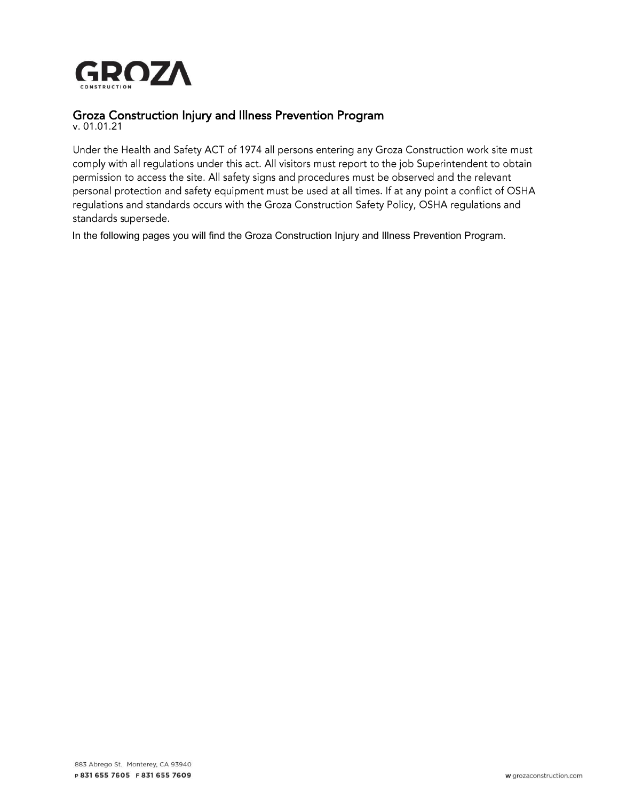

# Groza Construction Injury and Illness Prevention Program

 $v. 01.01.21$ 

Under the Health and Safety ACT of 1974 all persons entering any Groza Construction work site must comply with all regulations under this act. All visitors must report to the job Superintendent to obtain permission to access the site. All safety signs and procedures must be observed and the relevant personal protection and safety equipment must be used at all times. If at any point a conflict of OSHA regulations and standards occurs with the Groza Construction Safety Policy, OSHA regulations and standards supersede.

In the following pages you will find the Groza Construction Injury and Illness Prevention Program.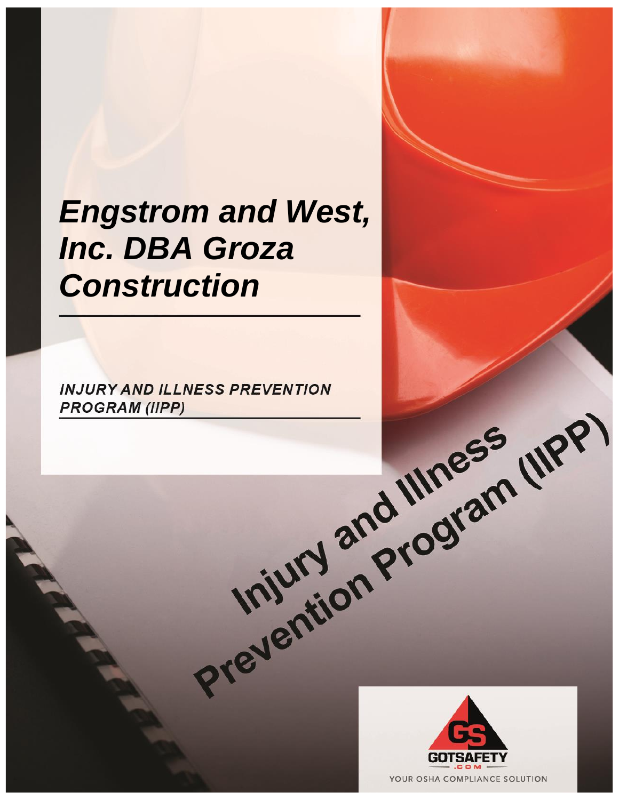# *Engstrom and West, Inc. DBA Groza Construction*

Prevention and Illiness (IIPP) **INJURY AND ILLNESS PREVENTION PROGRAM (IIPP)** 

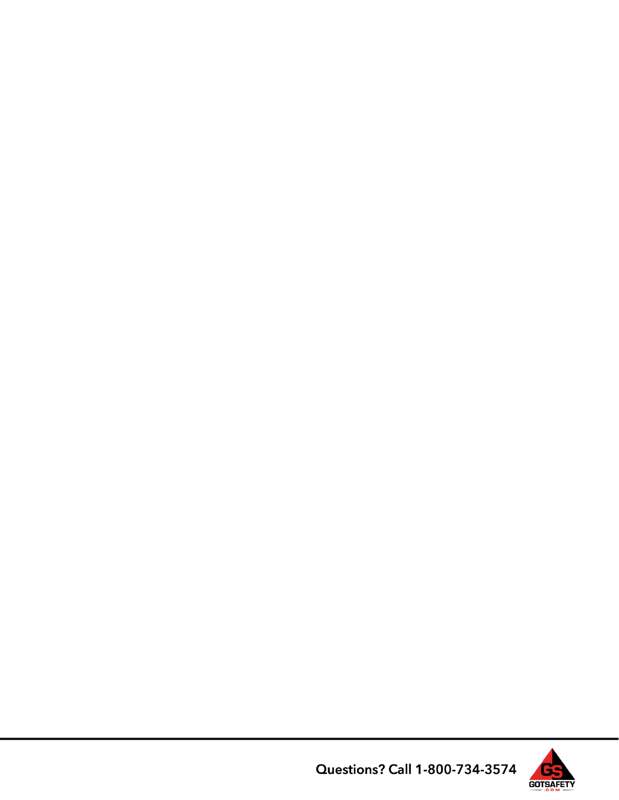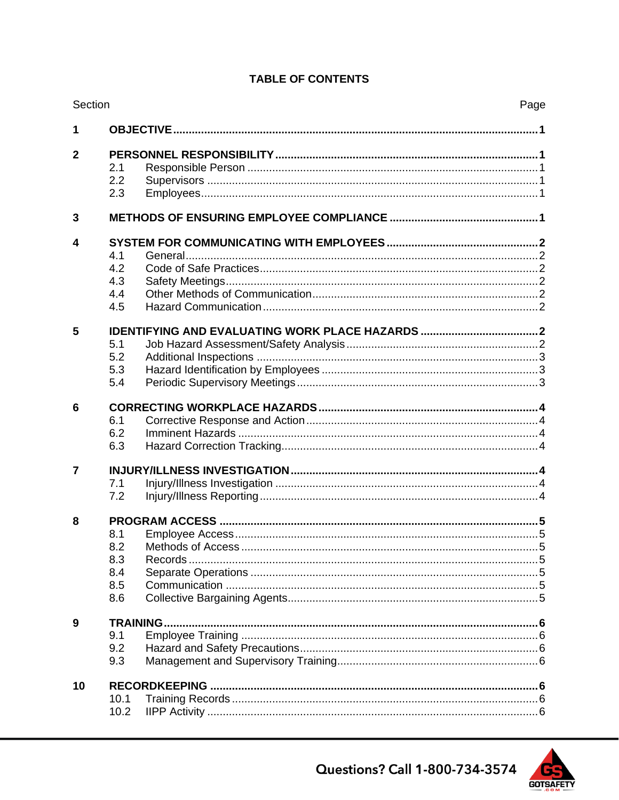| Section        |            | Page |  |  |  |
|----------------|------------|------|--|--|--|
| 1              |            |      |  |  |  |
| $\overline{2}$ | 2.1        |      |  |  |  |
|                | 2.2        |      |  |  |  |
|                | 2.3        |      |  |  |  |
| 3              |            |      |  |  |  |
| 4              |            |      |  |  |  |
|                | 4.1        |      |  |  |  |
|                | 4.2        |      |  |  |  |
|                | 4.3        |      |  |  |  |
|                | 4.4        |      |  |  |  |
|                | 4.5        |      |  |  |  |
| 5              |            |      |  |  |  |
|                | 5.1        |      |  |  |  |
|                | 5.2        |      |  |  |  |
|                | 5.3        |      |  |  |  |
|                | 5.4        |      |  |  |  |
| 6              |            |      |  |  |  |
|                | 6.1        |      |  |  |  |
|                | 6.2        |      |  |  |  |
|                | 6.3        |      |  |  |  |
| 7              |            |      |  |  |  |
|                | 7.1        |      |  |  |  |
|                | 7.2        |      |  |  |  |
|                |            |      |  |  |  |
| 8              |            |      |  |  |  |
|                | 8.1<br>8.2 |      |  |  |  |
|                | 8.3        |      |  |  |  |
|                | 8.4        |      |  |  |  |
|                | 8.5        |      |  |  |  |
|                | 8.6        |      |  |  |  |
|                |            |      |  |  |  |
| 9              |            |      |  |  |  |
|                | 9.1        |      |  |  |  |
|                | 9.2        |      |  |  |  |
|                | 9.3        |      |  |  |  |
| 10             |            |      |  |  |  |
|                | 10.1       |      |  |  |  |
|                | 10.2       |      |  |  |  |

# **TABLE OF CONTENTS**

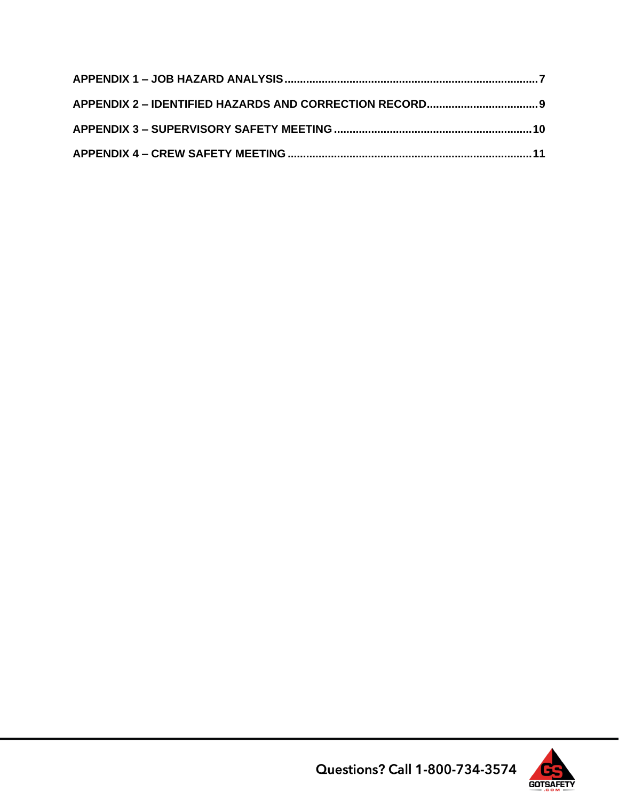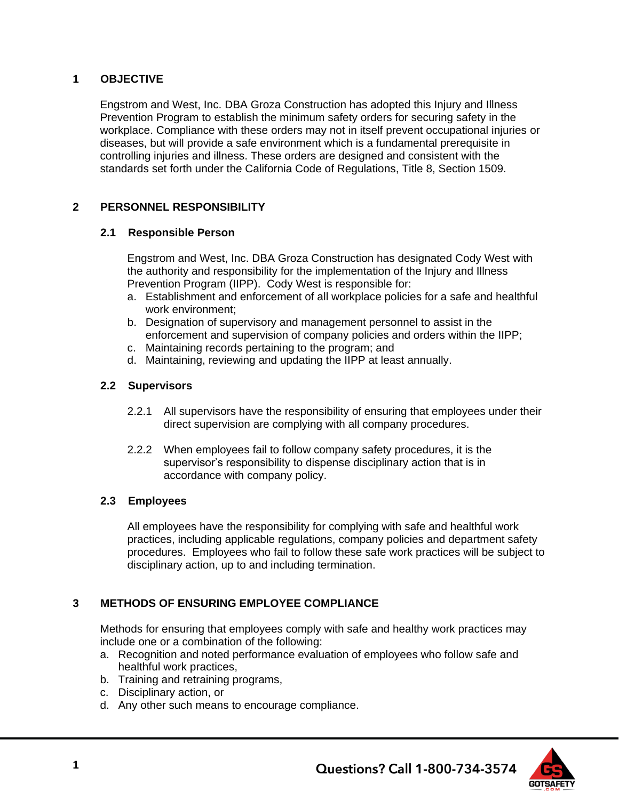## <span id="page-5-0"></span>**1 OBJECTIVE**

Engstrom and West, Inc. DBA Groza Construction has adopted this Injury and Illness Prevention Program to establish the minimum safety orders for securing safety in the workplace. Compliance with these orders may not in itself prevent occupational injuries or diseases, but will provide a safe environment which is a fundamental prerequisite in controlling injuries and illness. These orders are designed and consistent with the standards set forth under the California Code of Regulations, Title 8, Section 1509.

# <span id="page-5-2"></span><span id="page-5-1"></span>**2 PERSONNEL RESPONSIBILITY**

#### **2.1 Responsible Person**

Engstrom and West, Inc. DBA Groza Construction has designated Cody West with the authority and responsibility for the implementation of the Injury and Illness Prevention Program (IIPP). Cody West is responsible for:

- a. Establishment and enforcement of all workplace policies for a safe and healthful work environment;
- b. Designation of supervisory and management personnel to assist in the enforcement and supervision of company policies and orders within the IIPP;
- c. Maintaining records pertaining to the program; and
- d. Maintaining, reviewing and updating the IIPP at least annually.

#### <span id="page-5-3"></span>**2.2 Supervisors**

- 2.2.1 All supervisors have the responsibility of ensuring that employees under their direct supervision are complying with all company procedures.
- 2.2.2 When employees fail to follow company safety procedures, it is the supervisor's responsibility to dispense disciplinary action that is in accordance with company policy.

#### <span id="page-5-4"></span>**2.3 Employees**

All employees have the responsibility for complying with safe and healthful work practices, including applicable regulations, company policies and department safety procedures. Employees who fail to follow these safe work practices will be subject to disciplinary action, up to and including termination.

# <span id="page-5-5"></span>**3 METHODS OF ENSURING EMPLOYEE COMPLIANCE**

Methods for ensuring that employees comply with safe and healthy work practices may include one or a combination of the following:

- a. Recognition and noted performance evaluation of employees who follow safe and healthful work practices,
- b. Training and retraining programs,
- c. Disciplinary action, or
- d. Any other such means to encourage compliance.

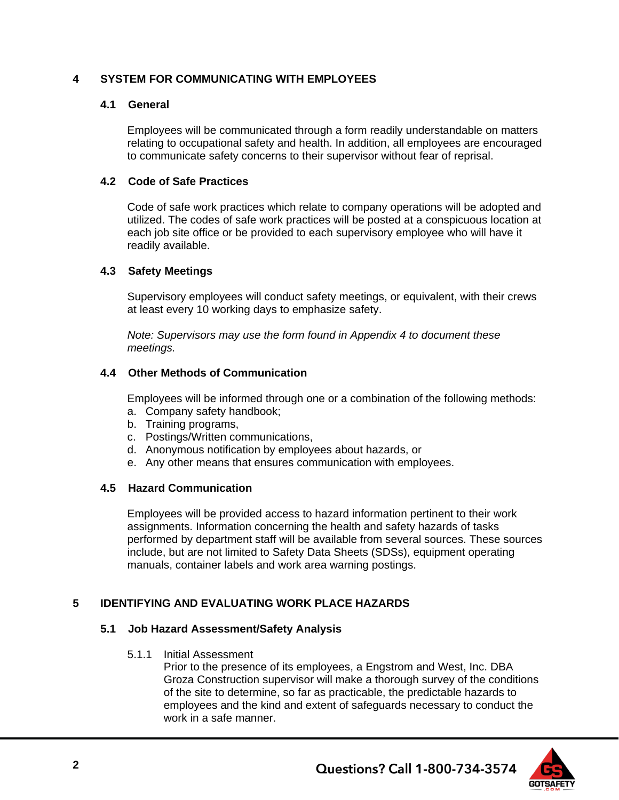# <span id="page-6-1"></span><span id="page-6-0"></span>**4 SYSTEM FOR COMMUNICATING WITH EMPLOYEES**

#### **4.1 General**

Employees will be communicated through a form readily understandable on matters relating to occupational safety and health. In addition, all employees are encouraged to communicate safety concerns to their supervisor without fear of reprisal.

#### <span id="page-6-2"></span>**4.2 Code of Safe Practices**

Code of safe work practices which relate to company operations will be adopted and utilized. The codes of safe work practices will be posted at a conspicuous location at each job site office or be provided to each supervisory employee who will have it readily available.

#### <span id="page-6-3"></span>**4.3 Safety Meetings**

Supervisory employees will conduct safety meetings, or equivalent, with their crews at least every 10 working days to emphasize safety.

*Note: Supervisors may use the form found in Appendix 4 to document these meetings.*

#### <span id="page-6-4"></span>**4.4 Other Methods of Communication**

Employees will be informed through one or a combination of the following methods:

- a. Company safety handbook;
- b. Training programs,
- c. Postings/Written communications,
- d. Anonymous notification by employees about hazards, or
- e. Any other means that ensures communication with employees.

#### <span id="page-6-5"></span>**4.5 Hazard Communication**

Employees will be provided access to hazard information pertinent to their work assignments. Information concerning the health and safety hazards of tasks performed by department staff will be available from several sources. These sources include, but are not limited to Safety Data Sheets (SDSs), equipment operating manuals, container labels and work area warning postings.

#### <span id="page-6-7"></span><span id="page-6-6"></span>**5 IDENTIFYING AND EVALUATING WORK PLACE HAZARDS**

#### **5.1 Job Hazard Assessment/Safety Analysis**

5.1.1 Initial Assessment

Prior to the presence of its employees, a Engstrom and West, Inc. DBA Groza Construction supervisor will make a thorough survey of the conditions of the site to determine, so far as practicable, the predictable hazards to employees and the kind and extent of safeguards necessary to conduct the work in a safe manner.

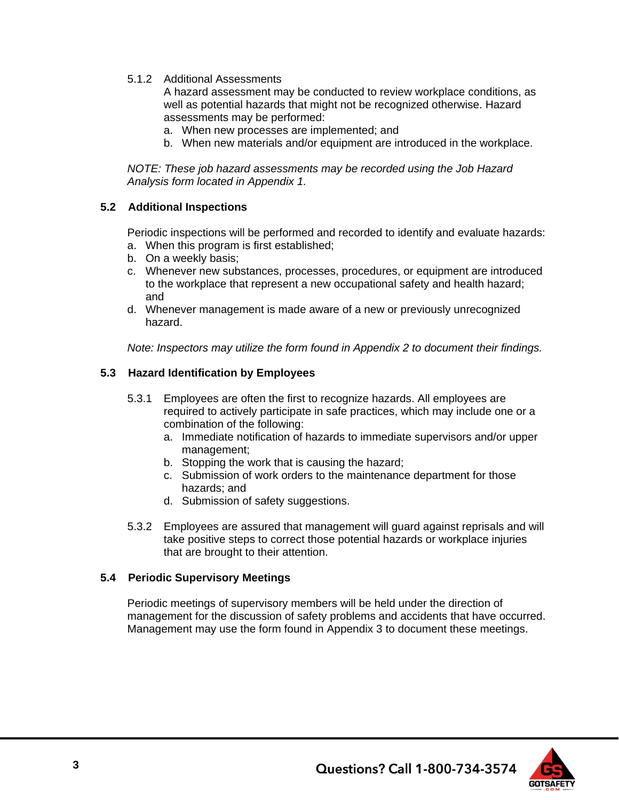5.1.2 Additional Assessments

A hazard assessment may be conducted to review workplace conditions, as well as potential hazards that might not be recognized otherwise. Hazard assessments may be performed:

- a. When new processes are implemented; and
- b. When new materials and/or equipment are introduced in the workplace.

*NOTE: These job hazard assessments may be recorded using the Job Hazard Analysis form located in Appendix 1.*

#### <span id="page-7-0"></span>**5.2 Additional Inspections**

Periodic inspections will be performed and recorded to identify and evaluate hazards: a. When this program is first established;

- b. On a weekly basis;
- c. Whenever new substances, processes, procedures, or equipment are introduced to the workplace that represent a new occupational safety and health hazard; and
- d. Whenever management is made aware of a new or previously unrecognized hazard.

*Note: Inspectors may utilize the form found in Appendix 2 to document their findings.*

#### <span id="page-7-1"></span>**5.3 Hazard Identification by Employees**

- 5.3.1 Employees are often the first to recognize hazards. All employees are required to actively participate in safe practices, which may include one or a combination of the following:
	- a. Immediate notification of hazards to immediate supervisors and/or upper management;
	- b. Stopping the work that is causing the hazard;
	- c. Submission of work orders to the maintenance department for those hazards; and
	- d. Submission of safety suggestions.
- 5.3.2 Employees are assured that management will guard against reprisals and will take positive steps to correct those potential hazards or workplace injuries that are brought to their attention.

#### <span id="page-7-2"></span>**5.4 Periodic Supervisory Meetings**

Periodic meetings of supervisory members will be held under the direction of management for the discussion of safety problems and accidents that have occurred. Management may use the form found in Appendix 3 to document these meetings.

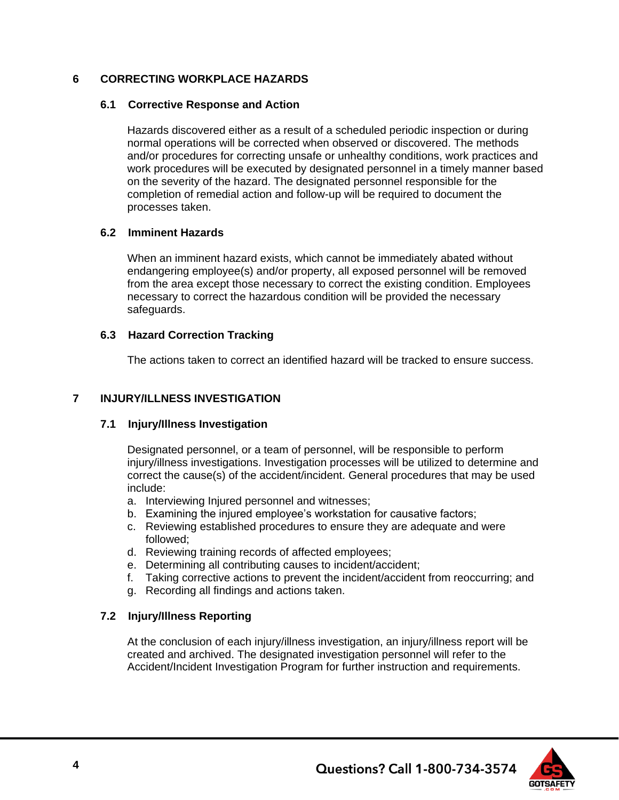# <span id="page-8-1"></span><span id="page-8-0"></span>**6 CORRECTING WORKPLACE HAZARDS**

#### **6.1 Corrective Response and Action**

Hazards discovered either as a result of a scheduled periodic inspection or during normal operations will be corrected when observed or discovered. The methods and/or procedures for correcting unsafe or unhealthy conditions, work practices and work procedures will be executed by designated personnel in a timely manner based on the severity of the hazard. The designated personnel responsible for the completion of remedial action and follow-up will be required to document the processes taken.

#### <span id="page-8-2"></span>**6.2 Imminent Hazards**

When an imminent hazard exists, which cannot be immediately abated without endangering employee(s) and/or property, all exposed personnel will be removed from the area except those necessary to correct the existing condition. Employees necessary to correct the hazardous condition will be provided the necessary safeguards.

#### <span id="page-8-3"></span>**6.3 Hazard Correction Tracking**

The actions taken to correct an identified hazard will be tracked to ensure success.

#### <span id="page-8-5"></span><span id="page-8-4"></span>**7 INJURY/ILLNESS INVESTIGATION**

#### **7.1 Injury/Illness Investigation**

Designated personnel, or a team of personnel, will be responsible to perform injury/illness investigations. Investigation processes will be utilized to determine and correct the cause(s) of the accident/incident. General procedures that may be used include:

- a. Interviewing Injured personnel and witnesses;
- b. Examining the injured employee's workstation for causative factors;
- c. Reviewing established procedures to ensure they are adequate and were followed;
- d. Reviewing training records of affected employees;
- e. Determining all contributing causes to incident/accident;
- f. Taking corrective actions to prevent the incident/accident from reoccurring; and
- g. Recording all findings and actions taken.

#### <span id="page-8-6"></span>**7.2 Injury/Illness Reporting**

At the conclusion of each injury/illness investigation, an injury/illness report will be created and archived. The designated investigation personnel will refer to the Accident/Incident Investigation Program for further instruction and requirements.

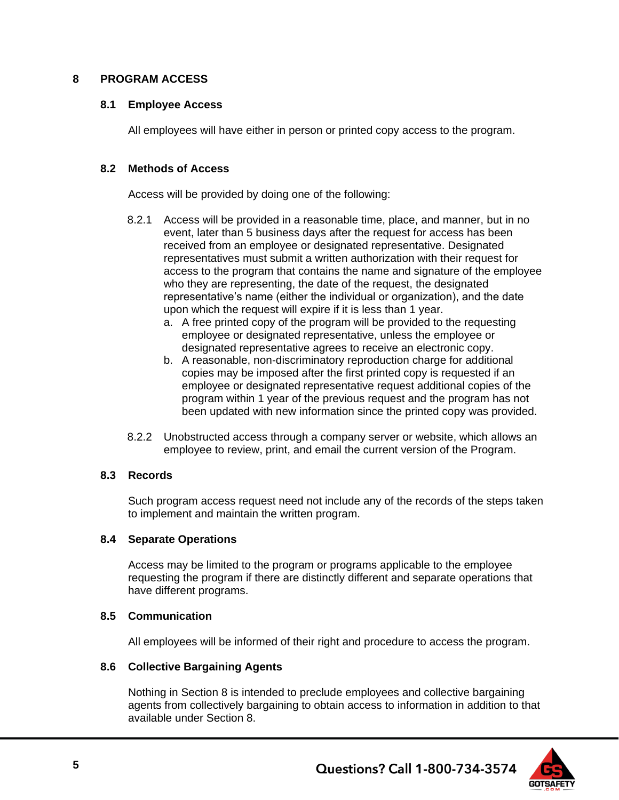# <span id="page-9-1"></span><span id="page-9-0"></span>**8 PROGRAM ACCESS**

#### **8.1 Employee Access**

All employees will have either in person or printed copy access to the program.

#### <span id="page-9-2"></span>**8.2 Methods of Access**

Access will be provided by doing one of the following:

- 8.2.1 Access will be provided in a reasonable time, place, and manner, but in no event, later than 5 business days after the request for access has been received from an employee or designated representative. Designated representatives must submit a written authorization with their request for access to the program that contains the name and signature of the employee who they are representing, the date of the request, the designated representative's name (either the individual or organization), and the date upon which the request will expire if it is less than 1 year.
	- a. A free printed copy of the program will be provided to the requesting employee or designated representative, unless the employee or designated representative agrees to receive an electronic copy.
	- b. A reasonable, non-discriminatory reproduction charge for additional copies may be imposed after the first printed copy is requested if an employee or designated representative request additional copies of the program within 1 year of the previous request and the program has not been updated with new information since the printed copy was provided.
- 8.2.2 Unobstructed access through a company server or website, which allows an employee to review, print, and email the current version of the Program.

#### <span id="page-9-3"></span>**8.3 Records**

Such program access request need not include any of the records of the steps taken to implement and maintain the written program.

#### <span id="page-9-4"></span>**8.4 Separate Operations**

Access may be limited to the program or programs applicable to the employee requesting the program if there are distinctly different and separate operations that have different programs.

#### <span id="page-9-5"></span>**8.5 Communication**

All employees will be informed of their right and procedure to access the program.

#### <span id="page-9-6"></span>**8.6 Collective Bargaining Agents**

Nothing in Section 8 is intended to preclude employees and collective bargaining agents from collectively bargaining to obtain access to information in addition to that available under Section 8.

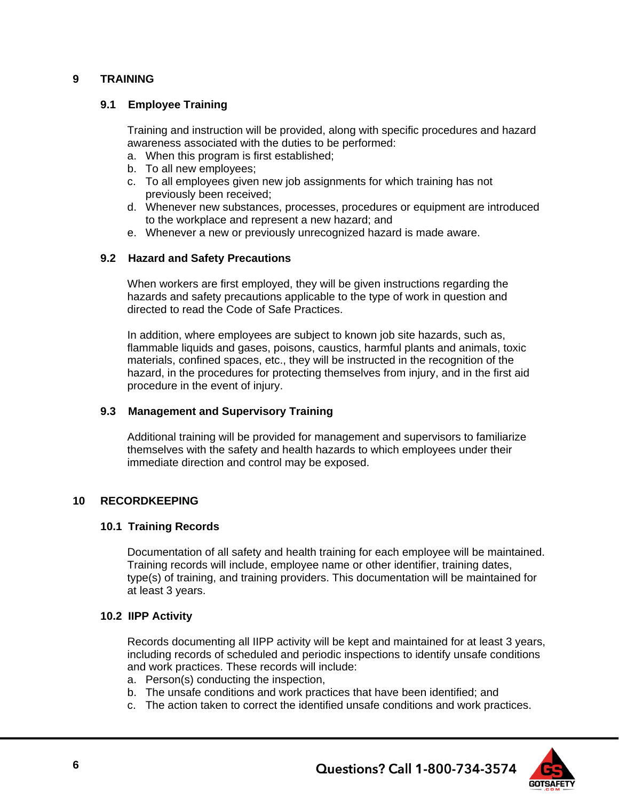# <span id="page-10-1"></span><span id="page-10-0"></span>**9 TRAINING**

#### **9.1 Employee Training**

Training and instruction will be provided, along with specific procedures and hazard awareness associated with the duties to be performed:

- a. When this program is first established;
- b. To all new employees;
- c. To all employees given new job assignments for which training has not previously been received;
- d. Whenever new substances, processes, procedures or equipment are introduced to the workplace and represent a new hazard; and
- e. Whenever a new or previously unrecognized hazard is made aware.

#### <span id="page-10-2"></span>**9.2 Hazard and Safety Precautions**

When workers are first employed, they will be given instructions regarding the hazards and safety precautions applicable to the type of work in question and directed to read the Code of Safe Practices.

In addition, where employees are subject to known job site hazards, such as, flammable liquids and gases, poisons, caustics, harmful plants and animals, toxic materials, confined spaces, etc., they will be instructed in the recognition of the hazard, in the procedures for protecting themselves from injury, and in the first aid procedure in the event of injury.

# <span id="page-10-3"></span>**9.3 Management and Supervisory Training**

Additional training will be provided for management and supervisors to familiarize themselves with the safety and health hazards to which employees under their immediate direction and control may be exposed.

#### <span id="page-10-5"></span><span id="page-10-4"></span>**10 RECORDKEEPING**

#### **10.1 Training Records**

Documentation of all safety and health training for each employee will be maintained. Training records will include, employee name or other identifier, training dates, type(s) of training, and training providers. This documentation will be maintained for at least 3 years.

#### <span id="page-10-6"></span>**10.2 IIPP Activity**

Records documenting all IIPP activity will be kept and maintained for at least 3 years, including records of scheduled and periodic inspections to identify unsafe conditions and work practices. These records will include:

- a. Person(s) conducting the inspection,
- b. The unsafe conditions and work practices that have been identified; and
- c. The action taken to correct the identified unsafe conditions and work practices.

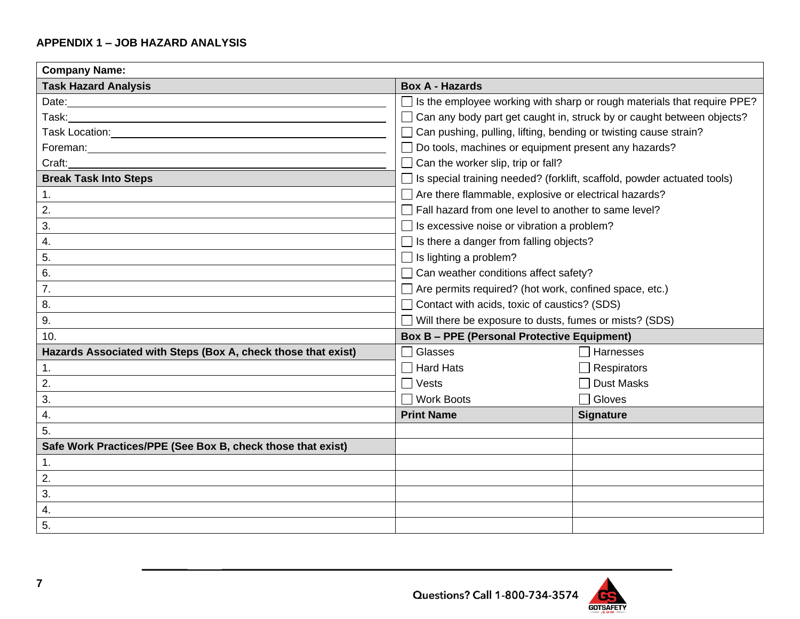# **APPENDIX 1 – JOB HAZARD ANALYSIS**

<span id="page-11-0"></span>

| <b>Company Name:</b>                                                                                            |                                                                                |                                                                                |  |
|-----------------------------------------------------------------------------------------------------------------|--------------------------------------------------------------------------------|--------------------------------------------------------------------------------|--|
| <b>Task Hazard Analysis</b>                                                                                     | <b>Box A - Hazards</b>                                                         |                                                                                |  |
|                                                                                                                 |                                                                                | $\Box$ is the employee working with sharp or rough materials that require PPE? |  |
| Task:                                                                                                           |                                                                                | $\Box$ Can any body part get caught in, struck by or caught between objects?   |  |
|                                                                                                                 | $\Box$ Can pushing, pulling, lifting, bending or twisting cause strain?        |                                                                                |  |
| Foreman: 2008 2012 2022 2022 2023 2024 2022 2022 2023 2024 2022 2023 2024 2022 2023 2024 2022 2023 2024 2022 20 | $\Box$ Do tools, machines or equipment present any hazards?                    |                                                                                |  |
|                                                                                                                 | $\Box$ Can the worker slip, trip or fall?                                      |                                                                                |  |
| <b>Break Task Into Steps</b>                                                                                    | $\Box$ Is special training needed? (forklift, scaffold, powder actuated tools) |                                                                                |  |
| 1.                                                                                                              | $\Box$ Are there flammable, explosive or electrical hazards?                   |                                                                                |  |
| 2.                                                                                                              | $\Box$ Fall hazard from one level to another to same level?                    |                                                                                |  |
| 3.                                                                                                              | $\Box$ Is excessive noise or vibration a problem?                              |                                                                                |  |
| $\overline{4}$ .                                                                                                | $\Box$ is there a danger from falling objects?                                 |                                                                                |  |
| 5.                                                                                                              | $\Box$ is lighting a problem?                                                  |                                                                                |  |
| 6.                                                                                                              | $\Box$ Can weather conditions affect safety?                                   |                                                                                |  |
| 7.                                                                                                              | Are permits required? (hot work, confined space, etc.)                         |                                                                                |  |
| 8.                                                                                                              | $\Box$ Contact with acids, toxic of caustics? (SDS)                            |                                                                                |  |
| 9.                                                                                                              | $\Box$ Will there be exposure to dusts, fumes or mists? (SDS)                  |                                                                                |  |
| 10.                                                                                                             | <b>Box B - PPE (Personal Protective Equipment)</b>                             |                                                                                |  |
| Hazards Associated with Steps (Box A, check those that exist)                                                   | Glasses                                                                        | Harnesses                                                                      |  |
| 1.                                                                                                              | $\sqcap$ Hard Hats                                                             | $\Box$ Respirators                                                             |  |
| 2.                                                                                                              | $\Box$ Vests                                                                   | $\sqcap$ Dust Masks                                                            |  |
| 3.                                                                                                              | Work Boots                                                                     | $\Box$ Gloves                                                                  |  |
| 4.                                                                                                              | <b>Print Name</b>                                                              | <b>Signature</b>                                                               |  |
| 5.                                                                                                              |                                                                                |                                                                                |  |
| Safe Work Practices/PPE (See Box B, check those that exist)                                                     |                                                                                |                                                                                |  |
| 1.                                                                                                              |                                                                                |                                                                                |  |
| 2.                                                                                                              |                                                                                |                                                                                |  |
| 3.                                                                                                              |                                                                                |                                                                                |  |
| 4.                                                                                                              |                                                                                |                                                                                |  |
| 5.                                                                                                              |                                                                                |                                                                                |  |

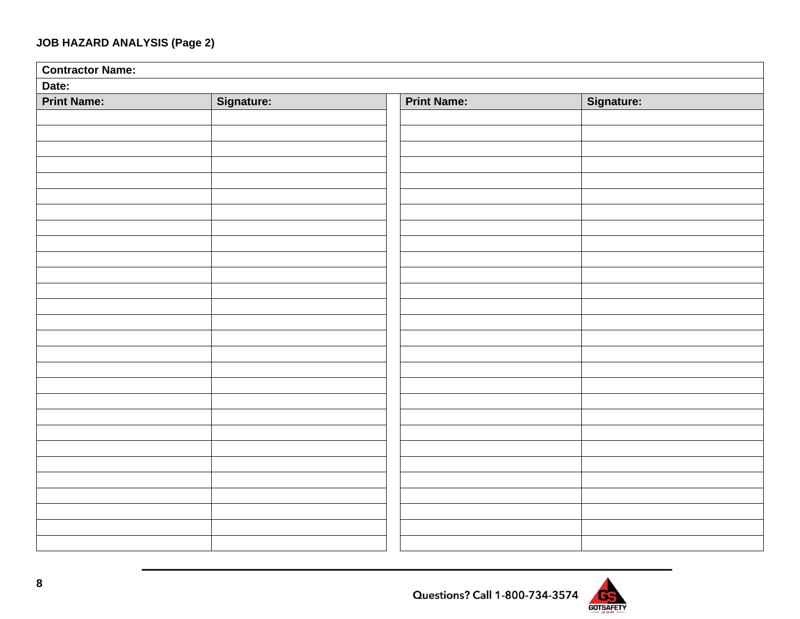# **JOB HAZARD ANALYSIS (Page 2)**

| <b>Contractor Name:</b> |            |                    |            |
|-------------------------|------------|--------------------|------------|
| Date:                   |            |                    |            |
| <b>Print Name:</b>      | Signature: | <b>Print Name:</b> | Signature: |
|                         |            |                    |            |
|                         |            |                    |            |
|                         |            |                    |            |
|                         |            |                    |            |
|                         |            |                    |            |
|                         |            |                    |            |
|                         |            |                    |            |
|                         |            |                    |            |
|                         |            |                    |            |
|                         |            |                    |            |
|                         |            |                    |            |
|                         |            |                    |            |
|                         |            |                    |            |
|                         |            |                    |            |
|                         |            |                    |            |
|                         |            |                    |            |
|                         |            |                    |            |
|                         |            |                    |            |
|                         |            |                    |            |
|                         |            |                    |            |
|                         |            |                    |            |
|                         |            |                    |            |
|                         |            |                    |            |
|                         |            |                    |            |
|                         |            |                    |            |
|                         |            |                    |            |
|                         |            |                    |            |
|                         |            |                    |            |

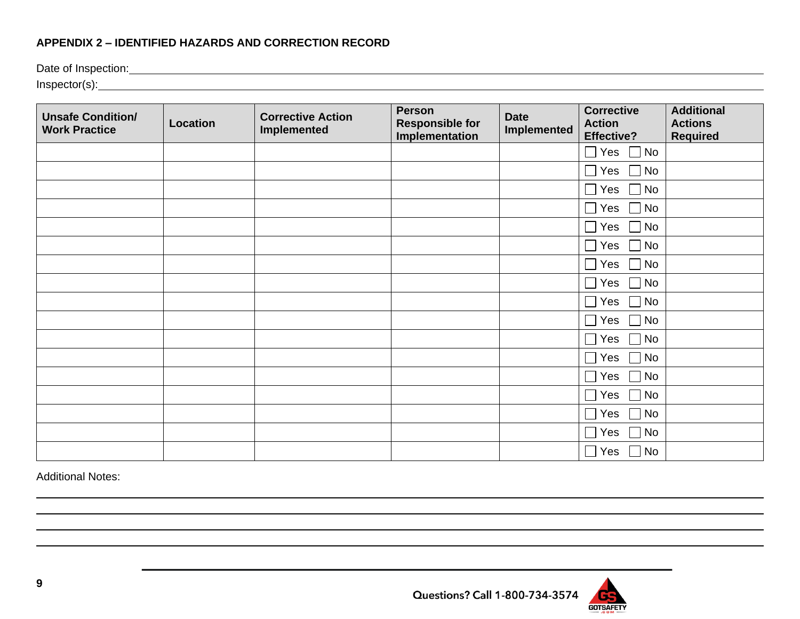# **APPENDIX 2 – IDENTIFIED HAZARDS AND CORRECTION RECORD**

Date of Inspection: <u>contact the contract of the contract of the contract of the contract of the contract of</u>

Inspector(s):

<span id="page-13-0"></span>

| <b>Unsafe Condition/</b><br><b>Work Practice</b> | <b>Location</b> | <b>Corrective Action</b><br>Implemented | <b>Person</b><br><b>Responsible for</b><br>Implementation | <b>Date</b><br>Implemented | <b>Corrective</b><br><b>Action</b><br><b>Effective?</b> | <b>Additional</b><br><b>Actions</b><br><b>Required</b> |
|--------------------------------------------------|-----------------|-----------------------------------------|-----------------------------------------------------------|----------------------------|---------------------------------------------------------|--------------------------------------------------------|
|                                                  |                 |                                         |                                                           |                            | $\Box$ Yes $\Box$ No                                    |                                                        |
|                                                  |                 |                                         |                                                           |                            | $\Box$ Yes $\Box$ No                                    |                                                        |
|                                                  |                 |                                         |                                                           |                            | $\Box$ Yes $\Box$ No                                    |                                                        |
|                                                  |                 |                                         |                                                           |                            | $\Box$ Yes $\Box$ No                                    |                                                        |
|                                                  |                 |                                         |                                                           |                            | Yes $\Box$ No<br>$\mathbf{I}$                           |                                                        |
|                                                  |                 |                                         |                                                           |                            | Yes $\Box$ No<br>$\cup$                                 |                                                        |
|                                                  |                 |                                         |                                                           |                            | $\Box$ Yes $\Box$ No                                    |                                                        |
|                                                  |                 |                                         |                                                           |                            | $\Box$ Yes $\Box$ No                                    |                                                        |
|                                                  |                 |                                         |                                                           |                            | Yes $\Box$ No<br>$\blacksquare$                         |                                                        |
|                                                  |                 |                                         |                                                           |                            | Yes $\Box$ No<br>$\mathbf{L}$                           |                                                        |
|                                                  |                 |                                         |                                                           |                            | Yes $\Box$ No<br><u>( j </u>                            |                                                        |
|                                                  |                 |                                         |                                                           |                            | Yes $\Box$ No<br>$\mathbf{L}$                           |                                                        |
|                                                  |                 |                                         |                                                           |                            | Yes $\Box$ No<br>$\mathbf{I}$                           |                                                        |
|                                                  |                 |                                         |                                                           |                            | Yes $\Box$ No                                           |                                                        |
|                                                  |                 |                                         |                                                           |                            | Yes $\Box$ No                                           |                                                        |
|                                                  |                 |                                         |                                                           |                            | Yes $\Box$ No                                           |                                                        |
|                                                  |                 |                                         |                                                           |                            | $\Box$ Yes $\Box$ No                                    |                                                        |

Additional Notes:

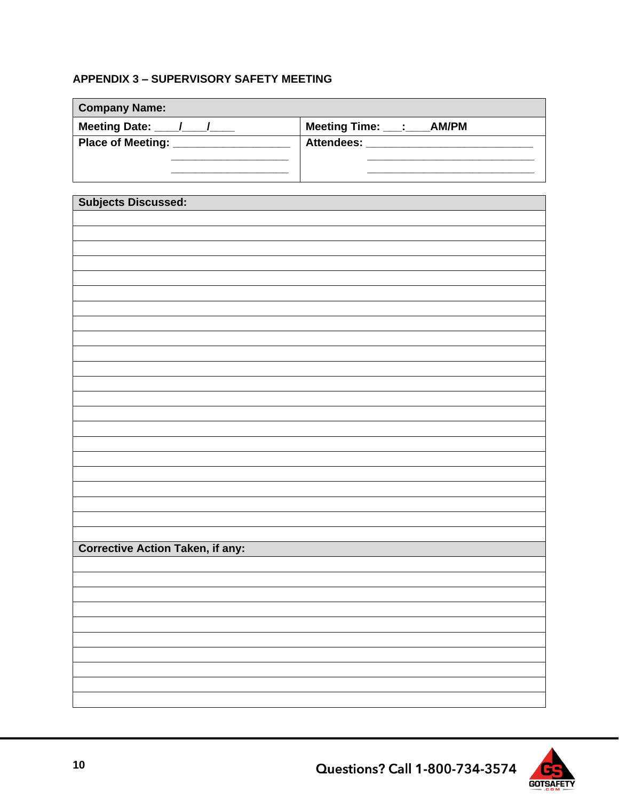# <span id="page-14-0"></span>**APPENDIX 3 – SUPERVISORY SAFETY MEETING**

| <b>Company Name:</b>                    |                             |
|-----------------------------------------|-----------------------------|
| Meeting Date: ____/____/_____           | Meeting Time: ___: ___AM/PM |
| Place of Meeting: ____________________  |                             |
|                                         |                             |
|                                         |                             |
| <b>Subjects Discussed:</b>              |                             |
|                                         |                             |
|                                         |                             |
|                                         |                             |
|                                         |                             |
|                                         |                             |
|                                         |                             |
|                                         |                             |
|                                         |                             |
|                                         |                             |
|                                         |                             |
|                                         |                             |
|                                         |                             |
|                                         |                             |
|                                         |                             |
|                                         |                             |
|                                         |                             |
|                                         |                             |
|                                         |                             |
|                                         |                             |
|                                         |                             |
| <b>Corrective Action Taken, if any:</b> |                             |
|                                         |                             |
|                                         |                             |
|                                         |                             |
|                                         |                             |
|                                         |                             |
|                                         |                             |
|                                         |                             |
|                                         |                             |
|                                         |                             |